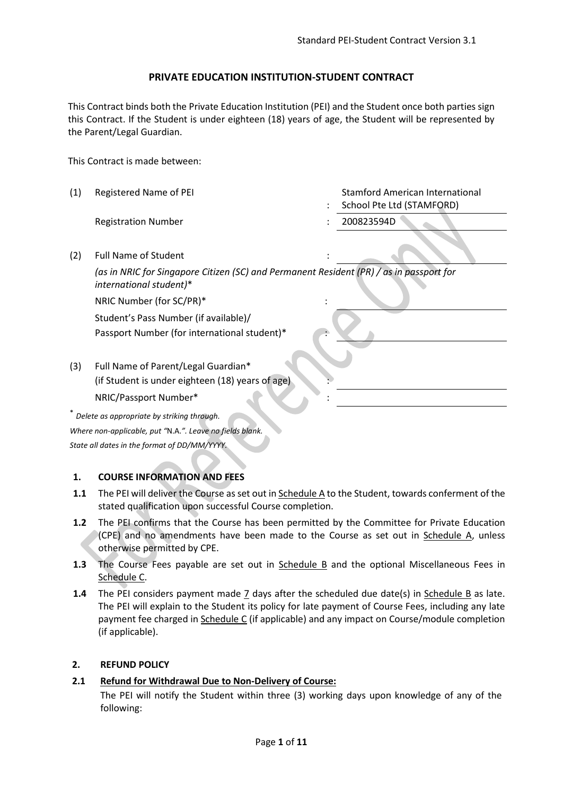### **PRIVATE EDUCATION INSTITUTION-STUDENT CONTRACT**

This Contract binds both the Private Education Institution (PEI) and the Student once both parties sign this Contract. If the Student is under eighteen (18) years of age, the Student will be represented by the Parent/Legal Guardian.

This Contract is made between:

(1) Registered Name of PEI : Stamford American International School Pte Ltd (STAMFORD) Registration Number : 200823594D (2) Full Name of Student *(as in NRIC for Singapore Citizen (SC) and Permanent Resident (PR) / as in passport for international student)*\* NRIC Number (for SC/PR)\* : Student's Pass Number (if available)/ Passport Number (for international student)\* (3) Full Name of Parent/Legal Guardian\* (if Student is under eighteen (18) years of age) NRIC/Passport Number\* : \* *Delete as appropriate by striking through. Where non-applicable, put "*N.A.*". Leave no fields blank. State all dates in the format of DD/MM/YYYY.*

#### **1. COURSE INFORMATION AND FEES**

- **1.1** The PEI will deliver the Course as set out in Schedule A to the Student, towards conferment of the stated qualification upon successful Course completion.
- **1.2** The PEI confirms that the Course has been permitted by the Committee for Private Education (CPE) and no amendments have been made to the Course as set out in Schedule A, unless otherwise permitted by CPE.
- **1.3** The Course Fees payable are set out in Schedule B and the optional Miscellaneous Fees in Schedule C.
- **1.4** The PEI considers payment made 7 days after the scheduled due date(s) in Schedule B as late. The PEI will explain to the Student its policy for late payment of Course Fees, including any late payment fee charged in Schedule C (if applicable) and any impact on Course/module completion (if applicable).

#### **2. REFUND POLICY**

#### **2.1 Refund for Withdrawal Due to Non-Delivery of Course:**

The PEI will notify the Student within three (3) working days upon knowledge of any of the following: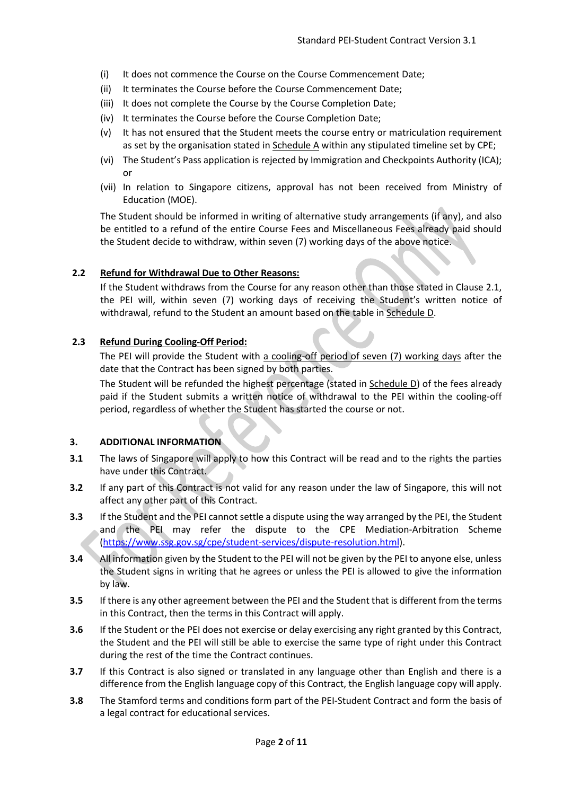- (i) It does not commence the Course on the Course Commencement Date;
- (ii) It terminates the Course before the Course Commencement Date;
- (iii) It does not complete the Course by the Course Completion Date;
- (iv) It terminates the Course before the Course Completion Date;
- (v) It has not ensured that the Student meets the course entry or matriculation requirement as set by the organisation stated in Schedule A within any stipulated timeline set by CPE;
- (vi) The Student's Pass application is rejected by Immigration and Checkpoints Authority (ICA); or
- (vii) In relation to Singapore citizens, approval has not been received from Ministry of Education (MOE).

The Student should be informed in writing of alternative study arrangements (if any), and also be entitled to a refund of the entire Course Fees and Miscellaneous Fees already paid should the Student decide to withdraw, within seven (7) working days of the above notice.

#### **2.2 Refund for Withdrawal Due to Other Reasons:**

If the Student withdraws from the Course for any reason other than those stated in Clause 2.1, the PEI will, within seven (7) working days of receiving the Student's written notice of withdrawal, refund to the Student an amount based on the table in Schedule D.

#### **2.3 Refund During Cooling-Off Period:**

The PEI will provide the Student with a cooling-off period of seven (7) working days after the date that the Contract has been signed by both parties.

The Student will be refunded the highest percentage (stated in Schedule D) of the fees already paid if the Student submits a written notice of withdrawal to the PEI within the cooling-off period, regardless of whether the Student has started the course or not.

#### **3. ADDITIONAL INFORMATION**

- **3.1** The laws of Singapore will apply to how this Contract will be read and to the rights the parties have under this Contract.
- **3.2** If any part of this Contract is not valid for any reason under the law of Singapore, this will not affect any other part of this Contract.
- **3.3** If the Student and the PEI cannot settle a dispute using the way arranged by the PEI, the Student and the PEI may refer the dispute to the CPE Mediation-Arbitration Scheme [\(https://www.ssg.gov.sg/cpe/student-services/dispute-resolution.html\)](https://www.ssg.gov.sg/cpe/student-services/dispute-resolution.html).
- **3.4** All information given by the Student to the PEI will not be given by the PEI to anyone else, unless the Student signs in writing that he agrees or unless the PEI is allowed to give the information by law.
- **3.5** If there is any other agreement between the PEI and the Student that is different from the terms in this Contract, then the terms in this Contract will apply.
- **3.6** If the Student or the PEI does not exercise or delay exercising any right granted by this Contract, the Student and the PEI will still be able to exercise the same type of right under this Contract during the rest of the time the Contract continues.
- **3.7** If this Contract is also signed or translated in any language other than English and there is a difference from the English language copy of this Contract, the English language copy will apply.
- **3.8** The Stamford terms and conditions form part of the PEI-Student Contract and form the basis of a legal contract for educational services.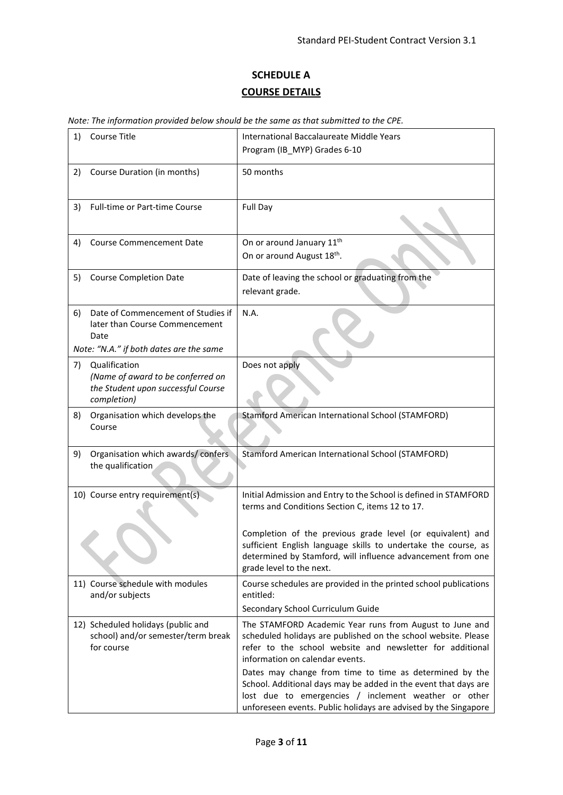# **SCHEDULE A COURSE DETAILS**

| Note: The information provided below should be the same as that submitted to the CPE. |  |
|---------------------------------------------------------------------------------------|--|
|---------------------------------------------------------------------------------------|--|

| 1) | Course Title                                                                                                            | International Baccalaureate Middle Years<br>Program (IB_MYP) Grades 6-10                                                                                                                                                                                                                                                                                                                                                                                                           |  |
|----|-------------------------------------------------------------------------------------------------------------------------|------------------------------------------------------------------------------------------------------------------------------------------------------------------------------------------------------------------------------------------------------------------------------------------------------------------------------------------------------------------------------------------------------------------------------------------------------------------------------------|--|
| 2) | Course Duration (in months)                                                                                             | 50 months                                                                                                                                                                                                                                                                                                                                                                                                                                                                          |  |
| 3) | <b>Full-time or Part-time Course</b>                                                                                    | Full Day                                                                                                                                                                                                                                                                                                                                                                                                                                                                           |  |
| 4) | <b>Course Commencement Date</b>                                                                                         | On or around January 11 <sup>th</sup><br>On or around August 18 <sup>th</sup> .                                                                                                                                                                                                                                                                                                                                                                                                    |  |
| 5) | <b>Course Completion Date</b>                                                                                           | Date of leaving the school or graduating from the<br>relevant grade.                                                                                                                                                                                                                                                                                                                                                                                                               |  |
| 6) | Date of Commencement of Studies if<br>later than Course Commencement<br>Date<br>Note: "N.A." if both dates are the same | N.A.                                                                                                                                                                                                                                                                                                                                                                                                                                                                               |  |
| 7) | Qualification<br>(Name of award to be conferred on<br>the Student upon successful Course<br>completion)                 | Does not apply                                                                                                                                                                                                                                                                                                                                                                                                                                                                     |  |
| 8) | Organisation which develops the<br>Course                                                                               | <b>Stamford American International School (STAMFORD)</b>                                                                                                                                                                                                                                                                                                                                                                                                                           |  |
| 9) | Organisation which awards/confers<br>the qualification                                                                  | <b>Stamford American International School (STAMFORD)</b>                                                                                                                                                                                                                                                                                                                                                                                                                           |  |
|    | 10) Course entry requirement(s)                                                                                         | Initial Admission and Entry to the School is defined in STAMFORD<br>terms and Conditions Section C, items 12 to 17.                                                                                                                                                                                                                                                                                                                                                                |  |
|    |                                                                                                                         | Completion of the previous grade level (or equivalent) and<br>sufficient English language skills to undertake the course, as<br>determined by Stamford, will influence advancement from one<br>grade level to the next.                                                                                                                                                                                                                                                            |  |
|    | 11) Course schedule with modules<br>and/or subjects                                                                     | Course schedules are provided in the printed school publications<br>entitled:<br>Secondary School Curriculum Guide                                                                                                                                                                                                                                                                                                                                                                 |  |
|    | 12) Scheduled holidays (public and<br>school) and/or semester/term break<br>for course                                  | The STAMFORD Academic Year runs from August to June and<br>scheduled holidays are published on the school website. Please<br>refer to the school website and newsletter for additional<br>information on calendar events.<br>Dates may change from time to time as determined by the<br>School. Additional days may be added in the event that days are<br>lost due to emergencies / inclement weather or other<br>unforeseen events. Public holidays are advised by the Singapore |  |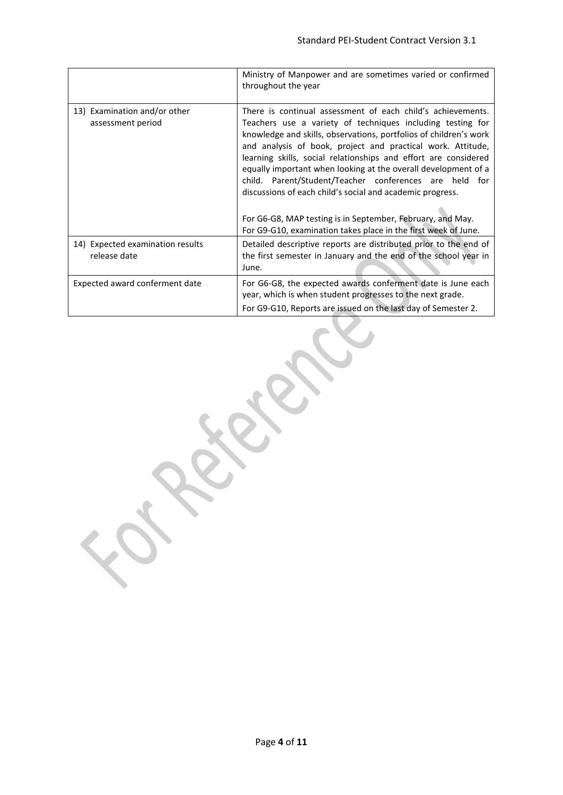|                                                   | Ministry of Manpower and are sometimes varied or confirmed<br>throughout the year                                                                                                                                                                                                                                                                                                                                                                                                                                                                                                                                                                            |
|---------------------------------------------------|--------------------------------------------------------------------------------------------------------------------------------------------------------------------------------------------------------------------------------------------------------------------------------------------------------------------------------------------------------------------------------------------------------------------------------------------------------------------------------------------------------------------------------------------------------------------------------------------------------------------------------------------------------------|
| 13) Examination and/or other<br>assessment period | There is continual assessment of each child's achievements.<br>Teachers use a variety of techniques including testing for<br>knowledge and skills, observations, portfolios of children's work<br>and analysis of book, project and practical work. Attitude,<br>learning skills, social relationships and effort are considered<br>equally important when looking at the overall development of a<br>Parent/Student/Teacher conferences are held for<br>child.<br>discussions of each child's social and academic progress.<br>For G6-G8, MAP testing is in September, February, and May.<br>For G9-G10, examination takes place in the first week of June. |
| 14) Expected examination results                  | Detailed descriptive reports are distributed prior to the end of                                                                                                                                                                                                                                                                                                                                                                                                                                                                                                                                                                                             |
| release date                                      | the first semester in January and the end of the school year in<br>June.                                                                                                                                                                                                                                                                                                                                                                                                                                                                                                                                                                                     |
| Expected award conferment date                    | For G6-G8, the expected awards conferment date is June each<br>year, which is when student progresses to the next grade.<br>For G9-G10, Reports are issued on the last day of Semester 2.                                                                                                                                                                                                                                                                                                                                                                                                                                                                    |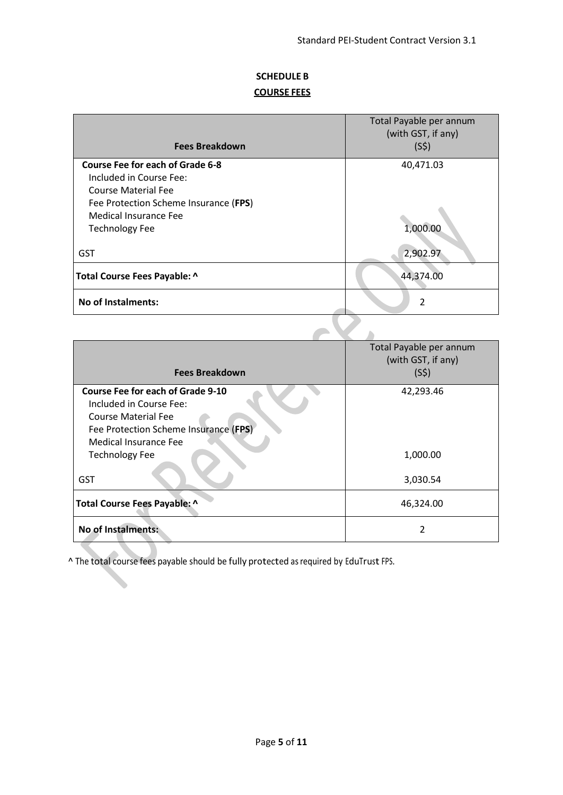## **SCHEDULE B COURSE FEES**

|                                                                                                                                                                                             | Total Payable per annum<br>(with GST, if any) |
|---------------------------------------------------------------------------------------------------------------------------------------------------------------------------------------------|-----------------------------------------------|
| <b>Fees Breakdown</b>                                                                                                                                                                       | (S5)                                          |
| <b>Course Fee for each of Grade 6-8</b><br>Included in Course Fee:<br><b>Course Material Fee</b><br>Fee Protection Scheme Insurance (FPS)<br>Medical Insurance Fee<br><b>Technology Fee</b> | 40,471.03<br>1,000.00                         |
| <b>GST</b>                                                                                                                                                                                  | 2,902.97                                      |
| Total Course Fees Payable: ^                                                                                                                                                                | 44,374.00                                     |
| <b>No of Instalments:</b>                                                                                                                                                                   | $\mathfrak{p}$                                |
|                                                                                                                                                                                             |                                               |

| <b>Fees Breakdown</b>                                                                                                                                        | Total Payable per annum<br>(with GST, if any)<br>(S5) |
|--------------------------------------------------------------------------------------------------------------------------------------------------------------|-------------------------------------------------------|
| Course Fee for each of Grade 9-10<br>Included in Course Fee:<br><b>Course Material Fee</b><br>Fee Protection Scheme Insurance (FPS)<br>Medical Insurance Fee | 42,293.46                                             |
| <b>Technology Fee</b>                                                                                                                                        | 1,000.00                                              |
| <b>GST</b>                                                                                                                                                   | 3,030.54                                              |
| Total Course Fees Payable: ^                                                                                                                                 | 46,324.00                                             |
| <b>No of Instalments:</b>                                                                                                                                    | 2                                                     |

^ The total course fees payable should be fully protected as required by EduTrust FPS.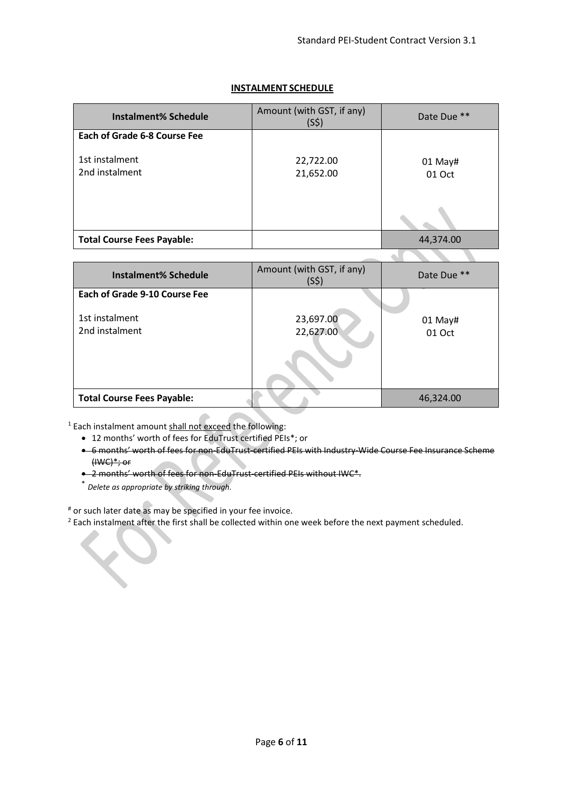$\sim$ 

 $\mathcal{L}$ 

J

J

### **INSTALMENT SCHEDULE**

| <b>Instalment% Schedule</b>         | Amount (with GST, if any)<br>(S5) | Date Due **       |
|-------------------------------------|-----------------------------------|-------------------|
| <b>Each of Grade 6-8 Course Fee</b> |                                   |                   |
| 1st instalment<br>2nd instalment    | 22,722.00<br>21,652.00            | 01 May#<br>01 Oct |
|                                     |                                   |                   |
|                                     |                                   |                   |
| <b>Total Course Fees Payable:</b>   |                                   | 44,374.00         |

| <b>Instalment% Schedule</b>                                              | Amount (with GST, if any)<br>(S5) | Date Due **         |
|--------------------------------------------------------------------------|-----------------------------------|---------------------|
| <b>Each of Grade 9-10 Course Fee</b><br>1st instalment<br>2nd instalment | 23,697.00<br>22,627.00            | $01$ May#<br>01 Oct |
| <b>Total Course Fees Payable:</b>                                        |                                   | 46,324.00           |

<sup>1</sup> Each instalment amount shall not exceed the following:

- 12 months' worth of fees for EduTrust certified PEIs\*; or
- 6 months' worth of fees for non-EduTrust-certified PEIs with Industry-Wide Course Fee Insurance Scheme (IWC)\*; or
- 2 months' worth of fees for non-EduTrust-certified PEIs without IWC\*.
- \* *Delete as appropriate by striking through.*

S.

# or such later date as may be specified in your fee invoice.

<sup>2</sup> Each instalment after the first shall be collected within one week before the next payment scheduled.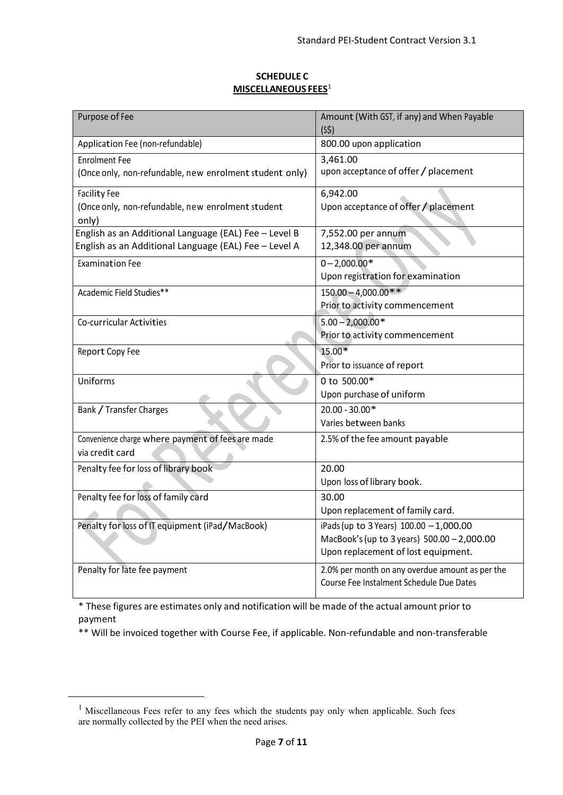#### **SCHEDULE C MISCELLANEOUS FEES**[1](#page-6-0)

| Purpose of Fee                                          | Amount (With GST, if any) and When Payable      |
|---------------------------------------------------------|-------------------------------------------------|
|                                                         | (S5)                                            |
| Application Fee (non-refundable)                        | 800.00 upon application                         |
| <b>Enrolment Fee</b>                                    | 3,461.00                                        |
| (Once only, non-refundable, new enrolment student only) | upon acceptance of offer / placement            |
| <b>Facility Fee</b>                                     | 6,942.00                                        |
| (Once only, non-refundable, new enrolment student       | Upon acceptance of offer / placement            |
| only)                                                   |                                                 |
| English as an Additional Language (EAL) Fee - Level B   | 7,552.00 per annum                              |
| English as an Additional Language (EAL) Fee - Level A   | 12,348.00 per annum                             |
| <b>Examination Fee</b>                                  | $0 - 2,000.00*$                                 |
|                                                         | Upon registration for examination               |
| Academic Field Studies**                                | $150.00 - 4.000.00**$                           |
|                                                         | Prior to activity commencement                  |
| Co-curricular Activities                                | $5.00 - 2,000.00*$                              |
|                                                         | Prior to activity commencement                  |
| Report Copy Fee                                         | $15.00*$                                        |
|                                                         | Prior to issuance of report                     |
| Uniforms                                                | 0 to 500.00*                                    |
|                                                         | Upon purchase of uniform                        |
| Bank / Transfer Charges                                 | $20.00 - 30.00*$                                |
|                                                         | Varies between banks                            |
| Convenience charge where payment of fees are made       | 2.5% of the fee amount payable                  |
| via credit card                                         |                                                 |
| Penalty fee for loss of library book                    | 20.00                                           |
|                                                         | Upon loss of library book.                      |
| Penalty fee for loss of family card                     | 30.00                                           |
|                                                         | Upon replacement of family card.                |
| Penalty for loss of IT equipment (iPad/MacBook)         | iPads (up to 3 Years) $100.00 - 1,000.00$       |
|                                                         | MacBook's (up to 3 years) 500.00 - 2,000.00     |
|                                                         | Upon replacement of lost equipment.             |
| Penalty for late fee payment                            | 2.0% per month on any overdue amount as per the |
|                                                         | Course Fee Instalment Schedule Due Dates        |
|                                                         |                                                 |

\* These figures are estimates only and notification will be made of the actual amount prior to payment

\*\* Will be invoiced together with Course Fee, if applicable. Non-refundable and non-transferable

<span id="page-6-0"></span><sup>&</sup>lt;sup>1</sup> Miscellaneous Fees refer to any fees which the students pay only when applicable. Such fees are normally collected by the PEI when the need arises.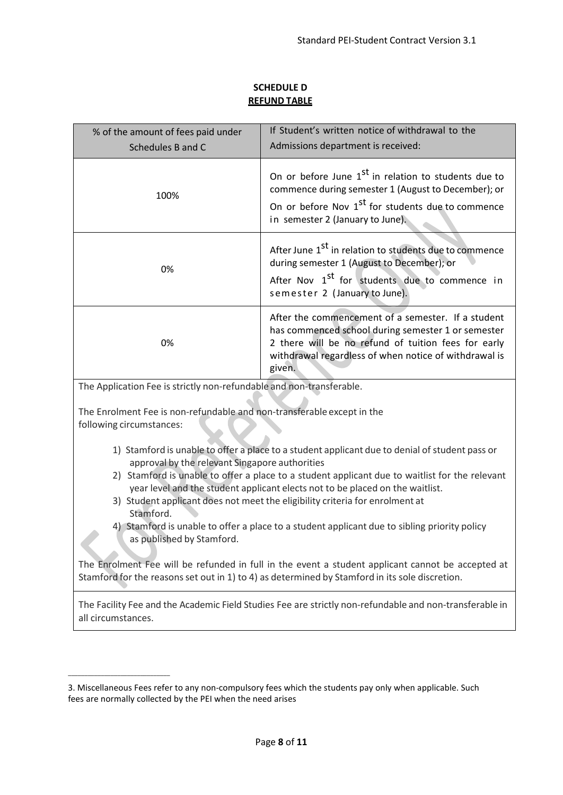### **SCHEDULE D REFUND TABLE**

| % of the amount of fees paid under<br>Schedules B and C                                                                                                                                                                                                                                                                                                                                                                                                                                                                                                                                                                                                                                                                                                              | If Student's written notice of withdrawal to the<br>Admissions department is received:                                                                                                                                       |  |  |  |
|----------------------------------------------------------------------------------------------------------------------------------------------------------------------------------------------------------------------------------------------------------------------------------------------------------------------------------------------------------------------------------------------------------------------------------------------------------------------------------------------------------------------------------------------------------------------------------------------------------------------------------------------------------------------------------------------------------------------------------------------------------------------|------------------------------------------------------------------------------------------------------------------------------------------------------------------------------------------------------------------------------|--|--|--|
| 100%                                                                                                                                                                                                                                                                                                                                                                                                                                                                                                                                                                                                                                                                                                                                                                 | On or before June 1 <sup>st</sup> in relation to students due to<br>commence during semester 1 (August to December); or<br>On or before Nov 1 <sup>st</sup> for students due to commence<br>in semester 2 (January to June). |  |  |  |
| After June 1 <sup>st</sup> in relation to students due to commence<br>during semester 1 (August to December); or<br>0%<br>After Nov 1 <sup>st</sup> for students due to commence in<br>semester 2 (January to June).                                                                                                                                                                                                                                                                                                                                                                                                                                                                                                                                                 |                                                                                                                                                                                                                              |  |  |  |
| After the commencement of a semester. If a student<br>has commenced school during semester 1 or semester<br>2 there will be no refund of tuition fees for early<br>0%<br>withdrawal regardless of when notice of withdrawal is<br>given.                                                                                                                                                                                                                                                                                                                                                                                                                                                                                                                             |                                                                                                                                                                                                                              |  |  |  |
| The Application Fee is strictly non-refundable and non-transferable.                                                                                                                                                                                                                                                                                                                                                                                                                                                                                                                                                                                                                                                                                                 |                                                                                                                                                                                                                              |  |  |  |
| The Enrolment Fee is non-refundable and non-transferable except in the<br>following circumstances:                                                                                                                                                                                                                                                                                                                                                                                                                                                                                                                                                                                                                                                                   |                                                                                                                                                                                                                              |  |  |  |
| 1) Stamford is unable to offer a place to a student applicant due to denial of student pass or<br>approval by the relevant Singapore authorities<br>2) Stamford is unable to offer a place to a student applicant due to waitlist for the relevant<br>year level and the student applicant elects not to be placed on the waitlist.<br>3) Student applicant does not meet the eligibility criteria for enrolment at<br>Stamford.<br>4) Stamford is unable to offer a place to a student applicant due to sibling priority policy<br>as published by Stamford.<br>The Enrolment Fee will be refunded in full in the event a student applicant cannot be accepted at<br>Stamford for the reasons set out in 1) to 4) as determined by Stamford in its sole discretion. |                                                                                                                                                                                                                              |  |  |  |
|                                                                                                                                                                                                                                                                                                                                                                                                                                                                                                                                                                                                                                                                                                                                                                      | The Facility Fee and the Academic Field Studies Fee are strictly non-refundable and non-transferable in                                                                                                                      |  |  |  |
| all circumstances.                                                                                                                                                                                                                                                                                                                                                                                                                                                                                                                                                                                                                                                                                                                                                   |                                                                                                                                                                                                                              |  |  |  |

 $\overline{\phantom{a}}$  , where the contract of the contract of the contract of the contract of the contract of the contract of the contract of the contract of the contract of the contract of the contract of the contract of the contr

<sup>3.</sup> Miscellaneous Fees refer to any non-compulsory fees which the students pay only when applicable. Such fees are normally collected by the PEI when the need arises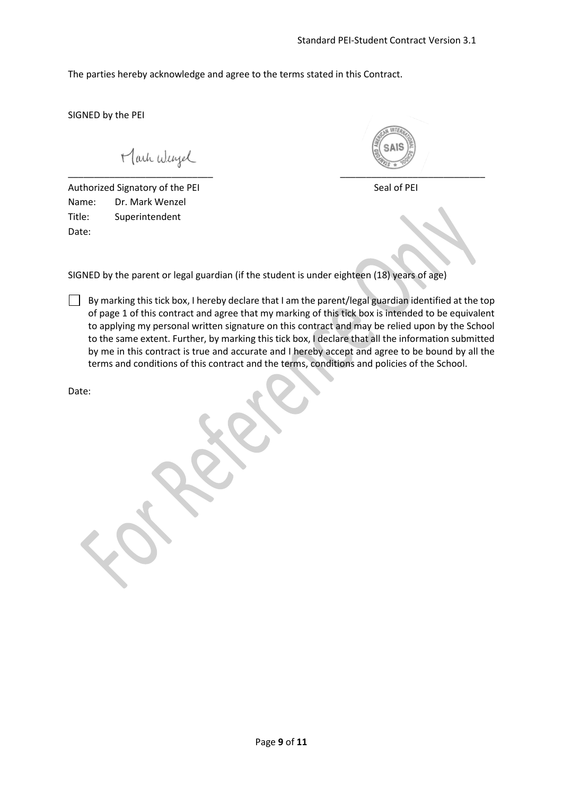The parties hereby acknowledge and agree to the terms stated in this Contract.

SIGNED by the PEI

Mark Wengel

Authorized Signatory of the PEI Seal of PEI Name: Dr. Mark Wenzel Title: Superintendent Date:

\_\_\_\_\_\_\_\_\_\_\_\_\_\_\_\_\_\_\_\_\_\_\_\_\_\_\_\_ \_\_\_\_\_\_\_\_\_\_\_\_\_\_\_\_\_\_\_\_\_\_\_\_\_\_\_\_

SIGNED by the parent or legal guardian (if the student is under eighteen (18) years of age)

By marking this tick box, I hereby declare that I am the parent/legal guardian identified at the top of page 1 of this contract and agree that my marking of this tick box is intended to be equivalent to applying my personal written signature on this contract and may be relied upon by the School to the same extent. Further, by marking this tick box, I declare that all the information submitted by me in this contract is true and accurate and I hereby accept and agree to be bound by all the terms and conditions of this contract and the terms, conditions and policies of the School.

Date: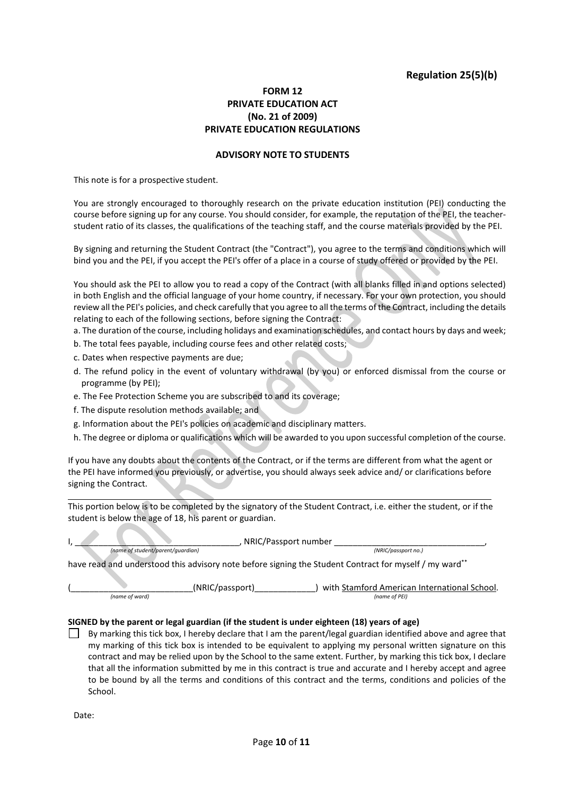### **Regulation 25(5)(b)**

#### **FORM 12 PRIVATE EDUCATION ACT (No. 21 of 2009) PRIVATE EDUCATION REGULATIONS**

#### **ADVISORY NOTE TO STUDENTS**

This note is for a prospective student.

You are strongly encouraged to thoroughly research on the private education institution (PEI) conducting the course before signing up for any course. You should consider, for example, the reputation of the PEI, the teacherstudent ratio of its classes, the qualifications of the teaching staff, and the course materials provided by the PEI.

By signing and returning the Student Contract (the "Contract"), you agree to the terms and conditions which will bind you and the PEI, if you accept the PEI's offer of a place in a course of study offered or provided by the PEI.

You should ask the PEI to allow you to read a copy of the Contract (with all blanks filled in and options selected) in both English and the official language of your home country, if necessary. For your own protection, you should review all the PEI's policies, and check carefully that you agree to all the terms of the Contract, including the details relating to each of the following sections, before signing the Contract:

a. The duration of the course, including holidays and examination schedules, and contact hours by days and week;

- b. The total fees payable, including course fees and other related costs;
- c. Dates when respective payments are due;
- d. The refund policy in the event of voluntary withdrawal (by you) or enforced dismissal from the course or programme (by PEI);
- e. The Fee Protection Scheme you are subscribed to and its coverage;
- f. The dispute resolution methods available; and

v.

A

 $\Delta \mathbf{r}$ 

- g. Information about the PEI's policies on academic and disciplinary matters.
- h. The degree or diploma or qualifications which will be awarded to you upon successful completion of the course.

If you have any doubts about the contents of the Contract, or if the terms are different from what the agent or the PEI have informed you previously, or advertise, you should always seek advice and/ or clarifications before signing the Contract.

This portion below is to be completed by the signatory of the Student Contract, i.e. either the student, or if the student is below the age of 18, his parent or guardian.

|                                   |                 | NRIC/Passport number                                                                                   |
|-----------------------------------|-----------------|--------------------------------------------------------------------------------------------------------|
| (name of student/parent/quardian) |                 | (NRIC/passport no.)                                                                                    |
|                                   |                 | have read and understood this advisory note before signing the Student Contract for myself / my ward** |
|                                   | (NRIC/passport) | with Stamford American International School.                                                           |
| (name of ward)                    |                 | (name of PEI)                                                                                          |

#### **SIGNED by the parent or legal guardian (if the student is under eighteen (18) years of age)**

By marking this tick box, I hereby declare that I am the parent/legal guardian identified above and agree that my marking of this tick box is intended to be equivalent to applying my personal written signature on this contract and may be relied upon by the School to the same extent. Further, by marking this tick box, I declare that all the information submitted by me in this contract is true and accurate and I hereby accept and agree to be bound by all the terms and conditions of this contract and the terms, conditions and policies of the School.

Date: